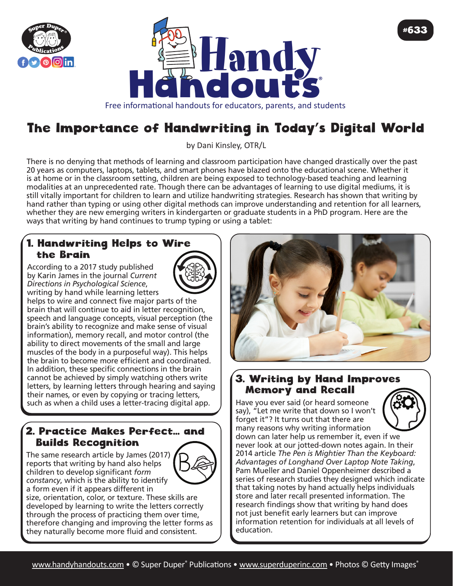



# The Importance of Handwriting in Today's Digital World

by Dani Kinsley, OTR/L

There is no denying that methods of learning and classroom participation have changed drastically over the past 20 years as computers, laptops, tablets, and smart phones have blazed onto the educational scene. Whether it is at home or in the classroom setting, children are being exposed to technology-based teaching and learning modalities at an unprecedented rate. Though there can be advantages of learning to use digital mediums, it is still vitally important for children to learn and utilize handwriting strategies. Research has shown that writing by hand rather than typing or using other digital methods can improve understanding and retention for all learners, whether they are new emerging writers in kindergarten or graduate students in a PhD program. Here are the ways that writing by hand continues to trump typing or using a tablet:

#### 1. Handwriting Helps to Wire the Brain

According to a 2017 study published by Karin James in the journal *Current Directions in Psychological Science*, writing by hand while learning letters



helps to wire and connect five major parts of the brain that will continue to aid in letter recognition, speech and language concepts, visual perception (the brain's ability to recognize and make sense of visual information), memory recall, and motor control (the ability to direct movements of the small and large muscles of the body in a purposeful way). This helps the brain to become more efficient and coordinated. In addition, these specific connections in the brain cannot be achieved by simply watching others write letters, by learning letters through hearing and saying their names, or even by copying or tracing letters, such as when a child uses a letter-tracing digital app.

#### 2. Practice Makes Perfect... and Builds Recognition

The same research article by James (2017) reports that writing by hand also helps children to develop significant *form constancy*, which is the ability to identify a form even if it appears different in



size, orientation, color, or texture. These skills are developed by learning to write the letters correctly through the process of practicing them over time, therefore changing and improving the letter forms as they naturally become more fluid and consistent.



#633

### 3. Writing by Hand Improves Memory and Recall

Have you ever said (or heard someone say), "Let me write that down so I won't forget it"? It turns out that there are many reasons why writing information down can later help us remember it, even if we never look at our jotted-down notes again. In their 2014 article *The Pen is Mightier Than the Keyboard: Advantages of Longhand Over Laptop Note Taking*, Pam Mueller and Daniel Oppenheimer described a series of research studies they designed which indicate that taking notes by hand actually helps individuals store and later recall presented information. The research findings show that writing by hand does not just benefit early learners but can improve information retention for individuals at all levels of education.